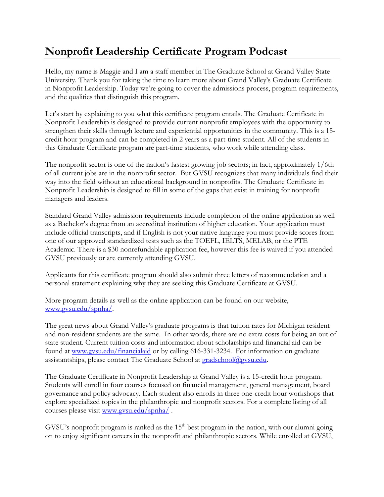## **Nonprofit Leadership Certificate Program Podcast**

Hello, my name is Maggie and I am a staff member in The Graduate School at Grand Valley State University. Thank you for taking the time to learn more about Grand Valley's Graduate Certificate in Nonprofit Leadership. Today we're going to cover the admissions process, program requirements, and the qualities that distinguish this program.

Let's start by explaining to you what this certificate program entails. The Graduate Certificate in Nonprofit Leadership is designed to provide current nonprofit employees with the opportunity to strengthen their skills through lecture and experiential opportunities in the community. This is a 15 credit hour program and can be completed in 2 years as a part-time student. All of the students in this Graduate Certificate program are part-time students, who work while attending class.

The nonprofit sector is one of the nation's fastest growing job sectors; in fact, approximately 1/6th of all current jobs are in the nonprofit sector. But GVSU recognizes that many individuals find their way into the field without an educational background in nonprofits. The Graduate Certificate in Nonprofit Leadership is designed to fill in some of the gaps that exist in training for nonprofit managers and leaders.

Standard Grand Valley admission requirements include completion of the online application as well as a Bachelor's degree from an accredited institution of higher education. Your application must include official transcripts, and if English is not your native language you must provide scores from one of our approved standardized tests such as the TOEFL, IELTS, MELAB, or the PTE Academic. There is a \$30 nonrefundable application fee, however this fee is waived if you attended GVSU previously or are currently attending GVSU.

Applicants for this certificate program should also submit three letters of recommendation and a personal statement explaining why they are seeking this Graduate Certificate at GVSU.

More program details as well as the online application can be found on our website, [www.gvsu.edu/spnha/.](http://www.gvsu.edu/spnha/)

The great news about Grand Valley's graduate programs is that tuition rates for Michigan resident and non-resident students are the same. In other words, there are no extra costs for being an out of state student. Current tuition costs and information about scholarships and financial aid can be found at [www.gvsu.edu/financialaid](http://www.gvsu.edu/financialaid) or by calling 616-331-3234. For information on graduate assistantships, please contact The Graduate School at  $grad\delta$ school $@g$ ysu.edu.

The Graduate Certificate in Nonprofit Leadership at Grand Valley is a 15-credit hour program. Students will enroll in four courses focused on financial management, general management, board governance and policy advocacy. Each student also enrolls in three one-credit hour workshops that explore specialized topics in the philanthropic and nonprofit sectors. For a complete listing of all courses please visit [www.gvsu.edu/spnha/](http://www.gvsu.edu/spnha/) .

GVSU's nonprofit program is ranked as the 15<sup>th</sup> best program in the nation, with our alumni going on to enjoy significant careers in the nonprofit and philanthropic sectors. While enrolled at GVSU,